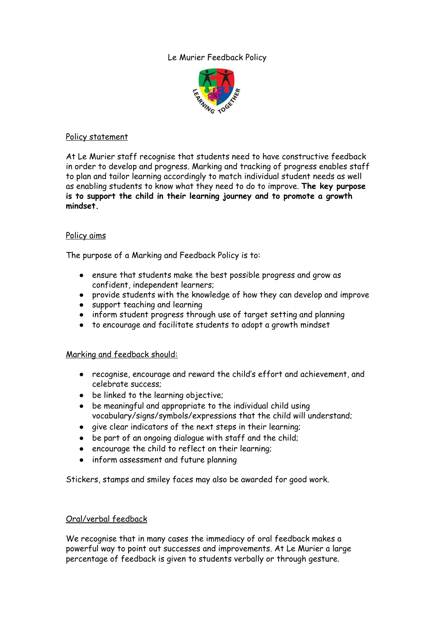Le Murier Feedback Policy



#### Policy statement

At Le Murier staff recognise that students need to have constructive feedback in order to develop and progress. Marking and tracking of progress enables staff to plan and tailor learning accordingly to match individual student needs as well as enabling students to know what they need to do to improve. **The key purpose is to support the child in their learning journey and to promote a growth mindset.**

# Policy aims

The purpose of a Marking and Feedback Policy is to:

- ensure that students make the best possible progress and grow as confident, independent learners;
- provide students with the knowledge of how they can develop and improve
- support teaching and learning
- inform student progress through use of target setting and planning
- to encourage and facilitate students to adopt a growth mindset

# Marking and feedback should:

- recognise, encourage and reward the child's effort and achievement, and celebrate success;
- be linked to the learning objective;
- be meaningful and appropriate to the individual child using vocabulary/signs/symbols/expressions that the child will understand;
- give clear indicators of the next steps in their learning;
- be part of an ongoing dialogue with staff and the child;
- encourage the child to reflect on their learning;
- inform assessment and future planning

Stickers, stamps and smiley faces may also be awarded for good work.

# Oral/verbal feedback

We recognise that in many cases the immediacy of oral feedback makes a powerful way to point out successes and improvements. At Le Murier a large percentage of feedback is given to students verbally or through gesture.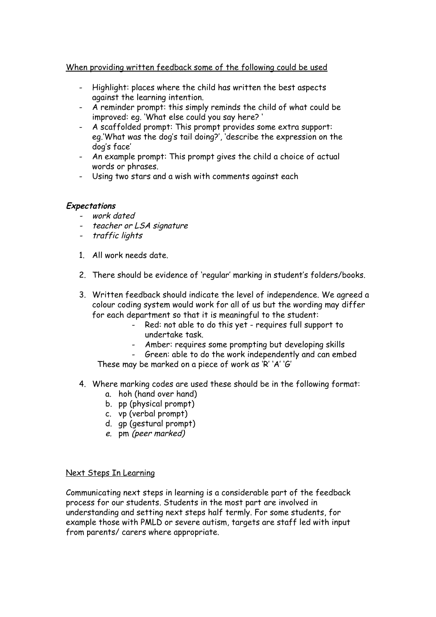# When providing written feedback some of the following could be used

- Highlight: places where the child has written the best aspects against the learning intention.
- A reminder prompt: this simply reminds the child of what could be improved: eg. 'What else could you say here? '
- A scaffolded prompt: This prompt provides some extra support: eg.'What was the dog's tail doing?', 'describe the expression on the dog's face'
- An example prompt: This prompt gives the child a choice of actual words or phrases.
- Using two stars and a wish with comments against each

# **Expectations**

- work dated
- teacher or LSA signature
- traffic lights
- 1. All work needs date.
- 2. There should be evidence of 'regular' marking in student's folders/books.
- 3. Written feedback should indicate the level of independence. We agreed a colour coding system would work for all of us but the wording may differ for each department so that it is meaningful to the student:
	- Red: not able to do this yet requires full support to undertake task.
	- Amber: requires some prompting but developing skills
	- Green: able to do the work independently and can embed These may be marked on a piece of work as 'R' 'A' 'G'
- 4. Where marking codes are used these should be in the following format:
	- a. hoh (hand over hand)
	- b. pp (physical prompt)
	- c. vp (verbal prompt)
	- d. gp (gestural prompt)
	- e. pm (peer marked)

# Next Steps In Learning

Communicating next steps in learning is a considerable part of the feedback process for our students. Students in the most part are involved in understanding and setting next steps half termly. For some students, for example those with PMLD or severe autism, targets are staff led with input from parents/ carers where appropriate.